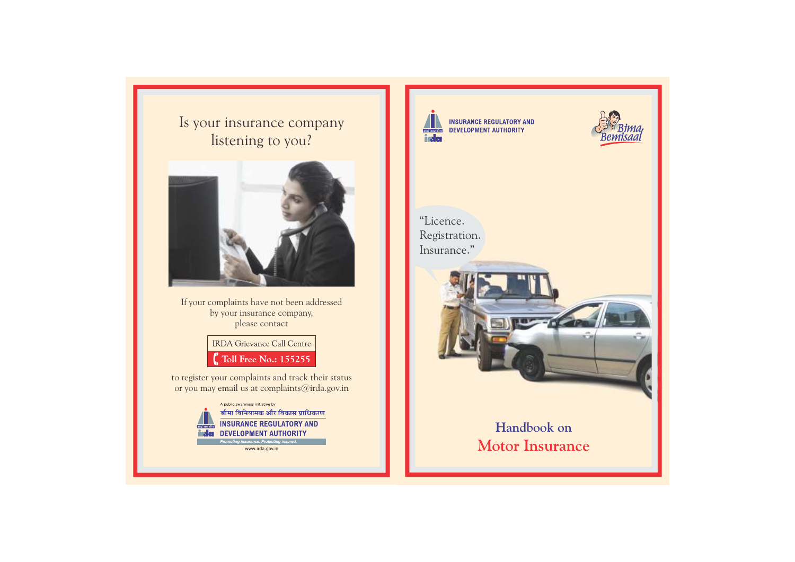Is your insurance company listening to you?



If your complaints have not been addressed by your insurance company, please contact

> **IRDA** Grievance Call Centre Toll Free No.: 155255

to register your complaints and track their status or you may email us at complaints@irda.gov.in



www.irda.gov.in



**INSURANCE REGULATORY AND BREAKER DEVELOPMENT AUTHORITY** 



"Licence. Registration. Insurance."



# **Handbook on Motor Insurance**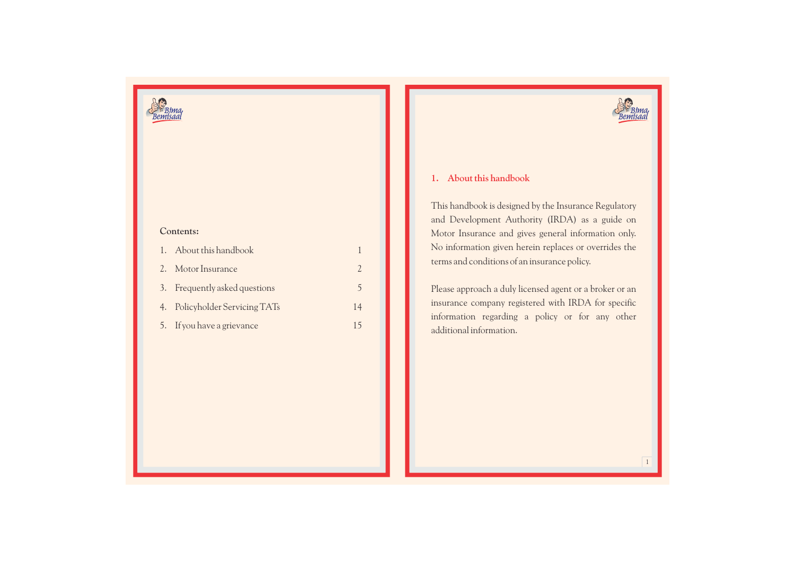



## **Contents:**

| 1. About this handbook         |    |
|--------------------------------|----|
| 2. Motor Insurance             |    |
| 3. Frequently asked questions  | 5  |
| 4. Policyholder Servicing TATs | 14 |
| 5. If you have a grievance     | 15 |

## **1. About this handbook**

This handbook is designed by the Insurance Regulatory and Development Authority (IRDA) as a guide on Motor Insurance and gives general information only. No information given herein replaces or overrides the terms and conditions of an insurance policy.

Please approach a duly licensed agent or a broker or an insurance company registered with IRDA for specific information regarding a policy or for any other additional information.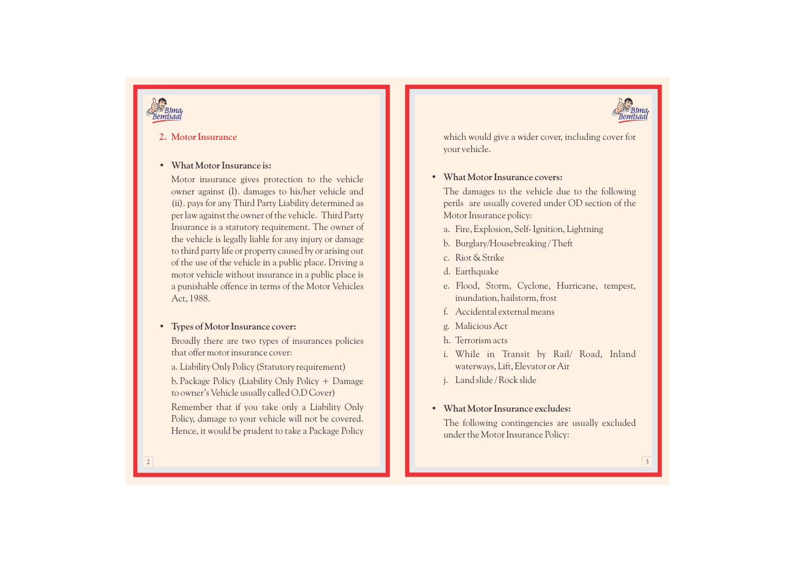

## **2. Motor Insurance**

## **• What Motor Insurance is:**

Motor insurance gives protection to the vehicle owner against (I). damages to his/her vehicle and (ii). pays for any Third Party Liability determined as per law against the owner of the vehicle. Third Party Insurance is a statutory requirement. The owner of the vehicle is legally liable for any injury or damage to third party life or property caused by or arising out of the use of the vehicle in a public place. Driving a motor vehicle without insurance in a public place is a punishable offence in terms of the Motor Vehicles Act, 1988.

**• Types of Motor Insurance cover:**

Broadly there are two types of insurances policies that offer motor insurance cover:

a. Liability Only Policy (Statutory requirement)

b. Package Policy (Liability Only Policy + Damage to owner's Vehicle usually called O.D Cover)

Remember that if you take only a Liability Only Policy, damage to your vehicle will not be covered. Hence, it would be prudent to take a Package Policy which would give a wider cover, including cover for your vehicle.

## **• What Motor Insurance covers:**

The damages to the vehicle due to the following perils are usually covered under OD section of the Motor Insurance policy:

- a. Fire, Explosion, Self- Ignition, Lightning
- b. Burglary/Housebreaking / Theft
- c. Riot & Strike
- d. Earthquake
- e. Flood, Storm, Cyclone, Hurricane, tempest, inundation, hailstorm, frost
- f. Accidental external means
- g. Malicious Act
- h. Terrorism acts
- i. While in Transit by Rail/ Road, Inland waterways, Lift, Elevator or Air
- j. Land slide / Rock slide

## **• What Motor Insurance excludes:**

The following contingencies are usually excluded under the Motor Insurance Policy: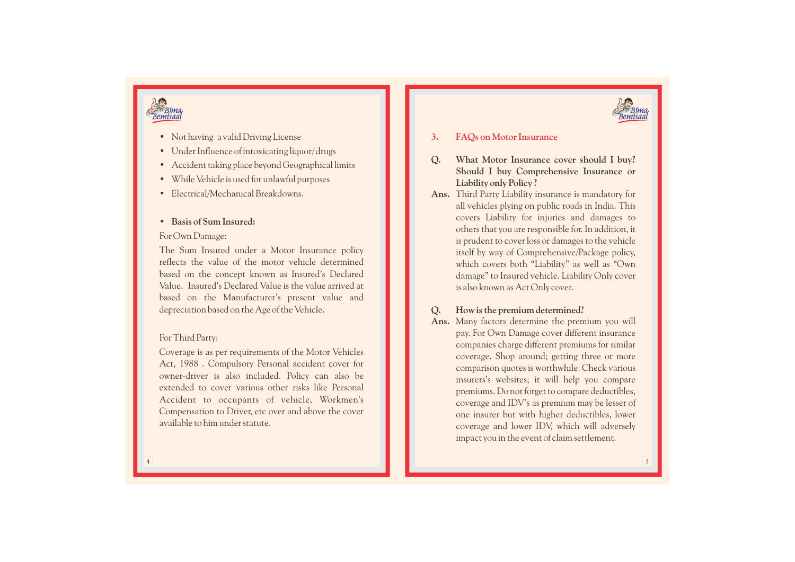

# Rima

- Not having a valid Driving License
- Under Influence of intoxicating liquor/ drugs
- Accident taking place beyond Geographical limits
- While Vehicle is used for unlawful purposes
- Electrical/Mechanical Breakdowns. **Basis of Sum Insured:**

## For Own Damage:

The Sum Insured under a Motor Insurance policy reflects the value of the motor vehicle determined based on the concept known as Insured's Declared Value. Insured's Declared Value is the value arrived at based on the Manufacturer's present value and depreciation based on the Age of the Vehicle.

## For Third Party:

Coverage is as per requirements of the Motor Vehicles Act, 1988 . Compulsory Personal accident cover for owner -driver is also included. Policy can also be extended to cover various other risks like Personal Accident to occupants of vehicle, Workmen's Compensation to Driver, etc over and above the cover available to him under statute.

#### **3. F AQs on Motor Insurance**

- **Q . What Motor Insurance cover should I buy? Should I buy Comprehensive Insurance or Liability only Policy ?** 
	- **Ans.** Third Party Liability insurance is mandatory for all vehicles plying on public roads in India. This covers Liability for injuries and damages to others that you are responsible for. In addition, it is prudent to cover loss or damages to the vehicle itself by way of Comprehensive/Package policy, which covers both "Liability" as well as "Own damage" to Insured vehicle. Liability Only cover is also known as Act Only cover.

#### **Q . How is the premium determined?**

**Ans.** Many factors determine the premium you will pay. For Own Damage cover different insurance companies charge different premiums for similar coverage. Shop around; getting three or more comparison quotes is worthwhile. Check various insurers's websites; it will help you compare premiums. Do not forget to compare deductibles, coverage and ID V's as premium may be lesser of one insurer but with higher deductibles, lower coverage and lower ID V, which will adversely impact you in the event of claim settlement.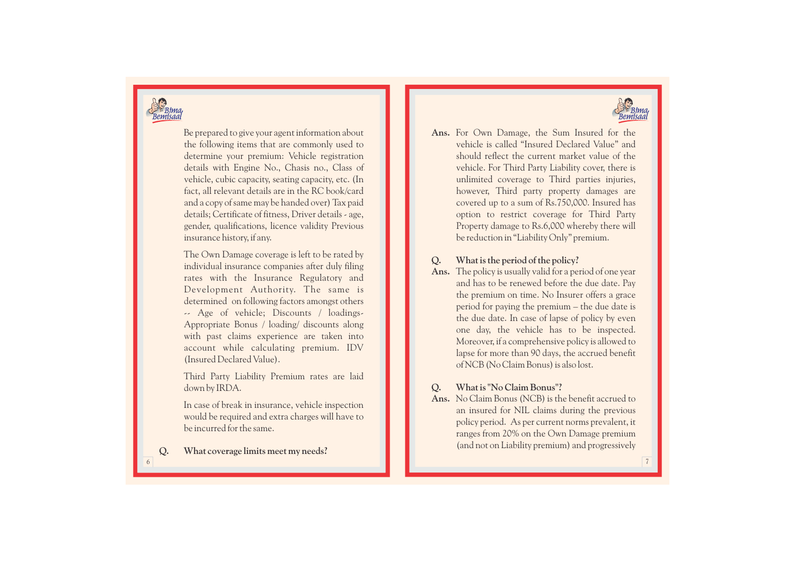



Be prepared to give your agent information about the following items that are commonly used to determine your premium: Vehicle registration details with Engine No., Chasis no., Class of vehicle, cubic capacity, seating capacity, etc. (In fact, all relevant details are in the RC book/card and a copy of same may be handed over) Tax paid details; Certificate of fitness, Driver details - age, gender, qualifications, licence validity Previous insurance history, if any.

The Own Damage coverage is left to be rated by individual insurance companies after duly filing rates with the Insurance Regulatory and Development Authority. The same is determined on following factors amongst others<br>-- Age of vehicle; Discounts / loadings-Appropriate Bonus / loading/ discounts along with past claims experience are taken into account while calculating premium. IDV (Insured Declared Value).

Third Party Liability Premium rates are laid down by IRDA.

In case of break in insurance, vehicle inspection would be required and extra charges will have to be incurred for the same.

**. What coverage limits meet my needs?** 

Ans. For Own Damage, the Sum Insured for the vehicle is called "Insured Declared Value" and should reflect the current market value of the vehicle. For Third Party Liability cover, there is unlimited coverage to Third parties injuries, however, Third party property damages are covered up to a sum of Rs.750,000. Insured has option to restrict coverage for Third Party Property damage to Rs.6,000 whereby there will be reduction in "Liability Only" premium. For Own Damage, the Sum Insured for the vehicle is called "Insured Declared Value" and should reflect the current market value of the vehicle. For Third Party Liability cover, there is unlimited coverage to Third partic in

#### **Q . What is the period of the policy?**

**Ans.** The policy is usually valid for a period of one year and has to be renewed before the due date. Pay the premium on time. No Insurer offers a grace period for paying the premium – the due date is the due date. In case of lapse of policy by even one day, the vehicle has to be inspected. Moreover, if a comprehensive policy is allowed to lapse for more than 90 days, the accrued benefit of NCB (No Claim Bonus) is also lost.

#### **Q . What is "No Claim Bonus"?**

**Ans.** No Claim Bonus (NCB) is the benefit accrued to an insured for NIL claims during the previous policy period. As per current norms prevalent, it ranges from 20% on the Own Damage premium

**Q**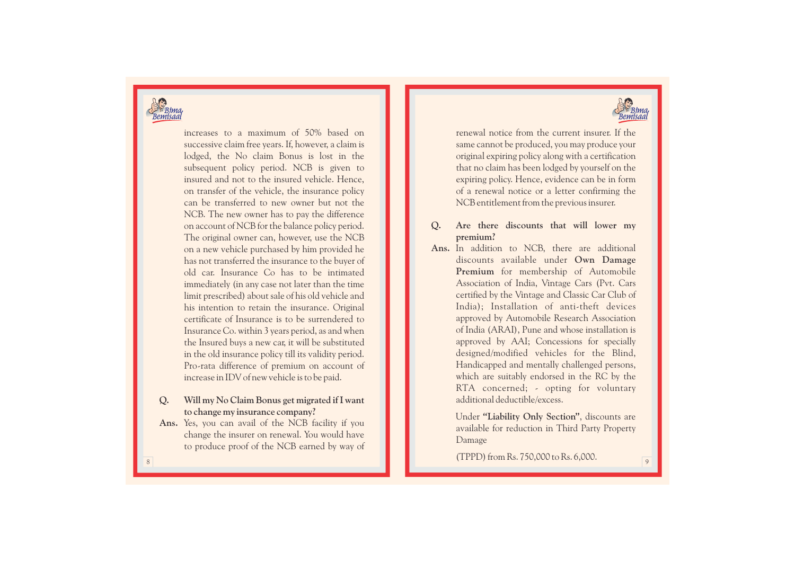

increases to a maximum of 50% based on successive claim free years. If, however, a claim is lodged, the No claim Bonus is lost in the subsequent policy period. NCB is given to insured and not to the insured vehicle. Hence, on transfer of the vehicle, the insurance policy can be transferred to new owner but not the NCB. The new owner has to pay the difference on account of NCB for the balance policy period. The original owner can, however, use the NCB on a new vehicle purchased by him provided he has not transferred the insurance to the buyer of old car. Insurance Co has to be intimated immediately (in any case not later than the time limit prescribed) about sale of his old vehicle and his intention to retain the insurance. Original certificate of Insurance is to be surrendered to Insurance Co. within 3 years period, as and when the Insured buys a new car, it will be substituted in the old insurance policy till its validity period. Pro-rata difference of premium on account of increase in IDV of new vehicle is to be paid.

#### **Q . Will my No Claim Bonus get migrated if I want to change my insurance company?**

**Ans.** Yes, you can avail of the NCB facility if you change the insurer on renewal. You would have to produce proof of the NCB earned by way of



renewal notice from the current insurer. If the same cannot be produced, you may produce your original expiring policy along with a certification that no claim has been lodged by yourself on the expiring policy. Hence, evidence can be in form of a renewal notice or a letter confirming the NCB entitlement from the previous insurer.

#### **Q . Are there discounts that will lower my premium?**

**Ans.** In addition to NCB, there are additional discounts available under **Own Damage Premium** for membership of Automobile Association of India, Vintage Cars (Pvt. Cars certified by the Vintage and Classic Car Club of India); Installation of anti-theft devices approved by Automobile Research Association of India (ARAI), Pune and whose installation is approved by AAI; Concessions for specially designed/modified vehicles for the Blind, Handicapped and mentally challenged persons, which are suitably endorsed in the RC by the RTA concerned; - opting for voluntary additional deductible/e xcess.

> Under **"Liability Only Section"**, discounts are available for reduction in Third Party Property Damage

(TPPD) from Rs. 750,000 to Rs. 6,000.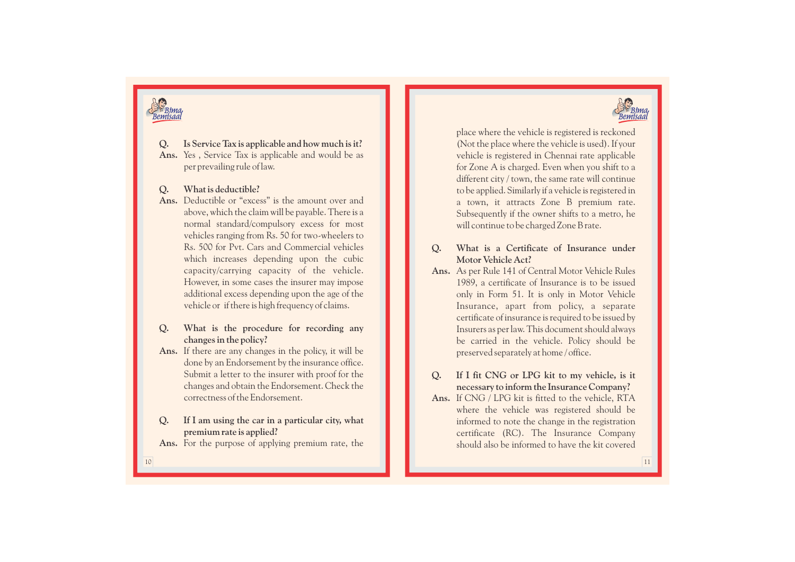



**Q . Is Service Tax is applicable and how much is it?**  Ans. Yes, Service Tax is applicable and would be as per prevailing rule of law.

#### **Q . What is deductible?**

- **Ans.** Deductible or "e xcess" is the amount over and above, which the claim will be payable. There is a normal standard/compulsory e xcess for most vehicles ranging from Rs. 50 for two-wheelers to Rs. 500 for Pvt. Cars and Commercial vehicles which increases depending upon the cubic capacity/carrying capacity of the vehicle. However, in some cases the insurer may impose additional e xcess depending upon the age of the vehicle or if there is high frequency of claims. Yes , Service Tax is applicable and would be as<br>per prevailing rule of law.<br>What is deductible?<br>Deductible or "excess" is the amount over and<br>above, which the claim will be payable. There is a<br>normal standard/compulsory ex
- **Q . What is the procedure for recording any changes in the policy?**
- **Ans.** If there are any changes in the policy, it will be done by an Endorsement by the insurance office. Submit a letter to the insurer with proof for the changes and obtain the Endorsement. Check the correctness of the Endorsement.

#### **Q . If I am using the car in a particular city, what premium rate is applied?**

Ans. For the purpose of applying premium rate, the

place where the vehicle is registered is reckoned (Not the place where the vehicle is used). If your vehicle is registered in Chennai rate applicable for Zone A is charged. Even when you shift to a different city / town, the same rate will continue to be applied. Similarly if a vehicle is registered in a town, it attracts Zone B premium rate. Subsequently if the owner shifts to a metro, he will continue to be charged Zone B rate.

#### **Q . What is a Certificate of Insurance under Motor Vehicle Act?**

Ans. As per Rule 141 of Central Motor Vehicle Rules 1989, a certificate of Insurance is to be issued only in Form 51. It is only in Motor Vehicle Insurance, apart from policy, a separate certificate of insurance is required to be issued by Insurers as per law. This document should always be carried in the vehicle. Policy should be preserved separately at home / office.

### **Q . If I fit CNG or LPG kit to my vehicle, is it necessary to inform the Insurance Company?**

**Ans.** If CNG / LPG kit is fitted to the vehicle, RTA where the vehicle was registered should be informed to note the change in the registration certificate (RC). The Insurance Company should also be informed to have the kit covered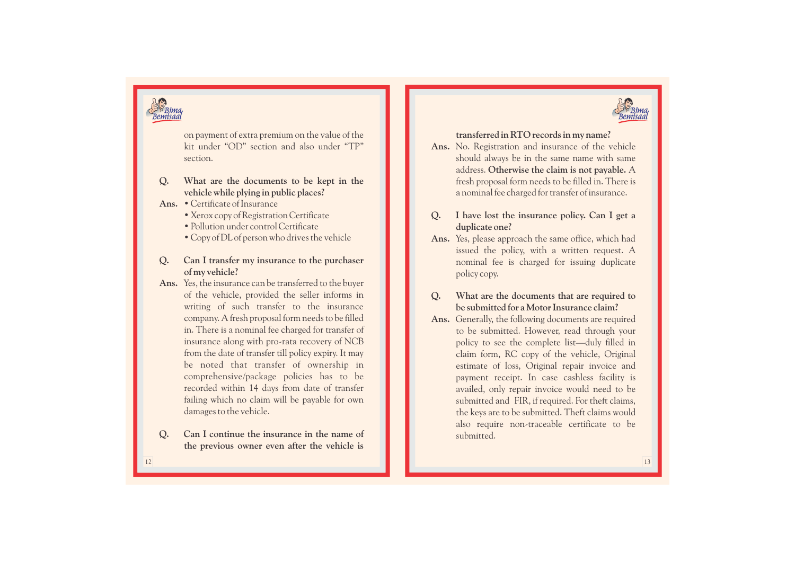

on payment of extra premium on the value of the kit under "OD" section and also under "TP" section.

- **Q . What are the documents to be kept in the vehicle while plying in public places?**
- **Ans.** Certificate of Insurance
	- Xerox copy of Registration Certificate
	- Pollution under control Certificate
	- Copy of DL of person who drives the vehicle
- **Q . Can I transfer my insurance to the purchaser of my vehicle?**
- **Ans.** Yes, the insurance can be transferred to the buyer of the vehicle, provided the seller informs in writing of such transfer to the insurance company. A fresh proposal form needs to be filled in. There is a nominal fee charged for transfer of insurance along with pro-rata recovery of NCB from the date of transfer till policy expiry. It may be noted that transfer of ownership in comprehensive/package policies has to be recorded within 14 days from date of transfer failing which no claim will be payable for own damages to the vehicle.
- **Q . Can I continue the insurance in the name of the previous owner even after the vehicle is**

## **transferred in RTO records in my name?**

- **Ans.** No. Registration and insurance of the vehicle should always be in the same name with same address. **Otherwise the claim is not payable.** A fresh proposal form needs to be filled in. There is a nominal fee charged for transfer of insurance.
- **Q . I have lost the insurance policy. Can I get a duplicate one?**
- **Ans.** Yes, please approach the same office, which had issued the policy, with a written request. A nominal fee is charged for issuing duplicate policy copy.
- **Q . What are the documents that are required to be submitted for a Motor Insurance claim?**
- **Ans.** Generally, the following documents are required to be submitted. However, read through your policy to see the complete list—duly filled in claim form, RC copy of the vehicle, Original estimate of loss, Original repair invoice and payment receipt. In case cashless facility is availed, only repair invoice would need to be submitted and FIR, if required. For theft claims, the keys are to be submitted. Theft claims would also require non-traceable certificate to be submitted.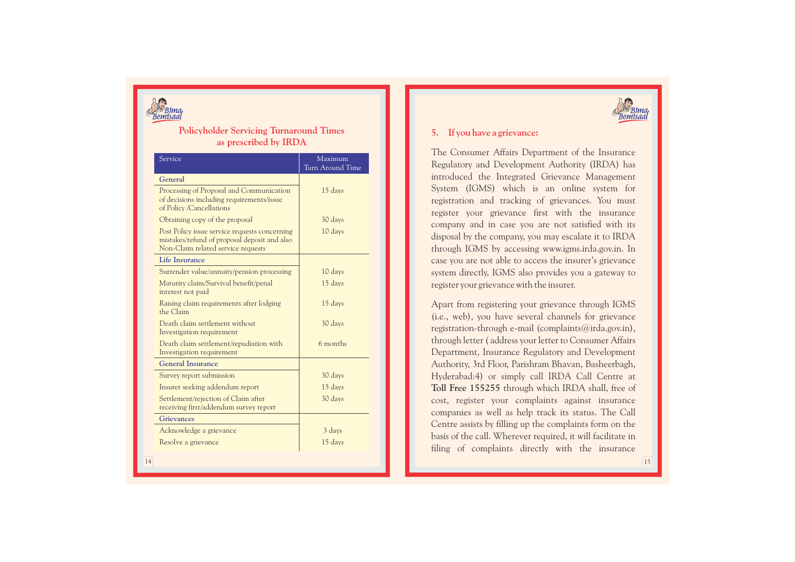

## **Policyholder Servicing Turnaround Times as prescribed by IRD A**

| Service                                                                                                                             | Maximum<br>Turn Around Time |
|-------------------------------------------------------------------------------------------------------------------------------------|-----------------------------|
| General                                                                                                                             |                             |
| Processing of Proposal and Communication<br>of decisions including requirements/issue<br>of Policy /Cancellations                   | 15 days                     |
| Obtaining copy of the proposal                                                                                                      | 30 days                     |
| Post Policy issue service requests concerning<br>mistakes/refund of proposal deposit and also<br>Non-Claim related service requests | 10 days                     |
| <b>Life Insurance</b>                                                                                                               |                             |
| Surrender value/annuity/pension processing                                                                                          | 10 days                     |
| Maturity claim/Survival benefit/penal<br>interest not paid                                                                          | 15 days                     |
| Raising claim requirements after lodging<br>the Claim                                                                               | 15 days                     |
| Death claim settlement without<br>Investigation requirement                                                                         | 30 days                     |
| Death claim settlement/repudiation with<br>Investigation requirement                                                                | 6 months                    |
| <b>General Insurance</b>                                                                                                            |                             |
| Survey report submission                                                                                                            | 30 days                     |
| Insurer seeking addendum report                                                                                                     | 15 days                     |
| Settlement/rejection of Claim after<br>receiving first/addendum survey report                                                       | 30 days                     |
| <b>Grievances</b>                                                                                                                   |                             |
| Acknowledge a grievance                                                                                                             | 3 days                      |
| Resolve a grievance                                                                                                                 | 15 days                     |



## **5. If you have a grievance:**

The Consumer Affairs Department of the Insurance Regulatory and Development Authority (IRDA) has introduced the Integrated Grievance Management System (IGMS) which is an online system for registration and tracking of grievances. You must register your grievance first with the insurance company and in case you are not satisfied with its disposal by the company, you may escalate it to IRDA through IGMS by accessing www.igms.irda.gov.in. In case you are not able to access the insurer's grievance system directly, IGMS also provides you a gateway to register your grievance with the insurer.

Apart from registering your grievance through IGMS (i.e., web), you have several channels for grievance registration-through e-mail (complaints@irda.gov.in), through letter ( address your letter to Consumer Affairs Department, Insurance Regulatory and Development Authority, 3rd Floor, Parishram Bhavan, Basheerbagh, Hyderabad:4) or simply call IRDA Call Centre at **Toll Free 155255** through which IRDA shall, free of cost, register your complaints against insurance companies as well as help track its status. The Call Centre assists by filling up the complaints form on the basis of the call. Wherever required, it will facilitate in filing of complaints directly with the insurance